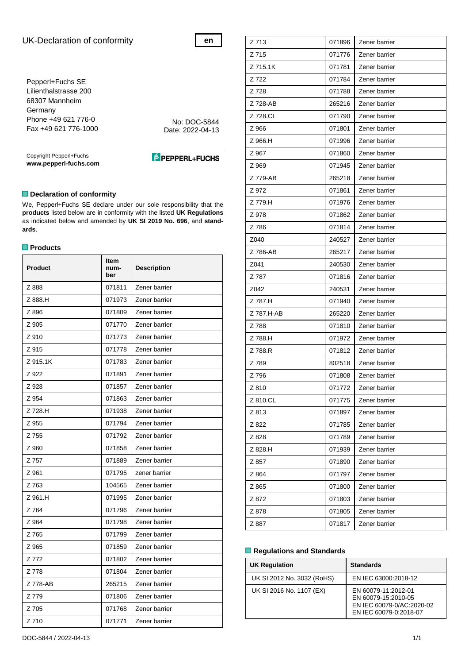# UK-Declaration of conformity

**en**

Pepperl+Fuchs SE Lilienthalstrasse 200 68307 Mannheim Germany Phone +49 621 776-0 Fax +49 621 776-1000

No: DOC-5844 Date: 2022-04-13

Copyright Pepperl+Fuchs **www.pepperl-fuchs.com** **E** PEPPERL+FUCHS

## **Declaration of conformity**

We, Pepperl+Fuchs SE declare under our sole responsibility that the **products** listed below are in conformity with the listed **UK Regulations** as indicated below and amended by **UK SI 2019 No. 696**, and **standards**.

## **Products**

| <b>Product</b> | Item<br>num-<br>ber | <b>Description</b> |
|----------------|---------------------|--------------------|
| Z 888          | 071811              | Zener barrier      |
| Z 888.H        | 071973              | Zener barrier      |
| Z 896          | 071809              | Zener barrier      |
| Z 905          | 071770              | Zener barrier      |
| Z 910          | 071773              | Zener barrier      |
| Z 915          | 071778              | Zener barrier      |
| Z 915.1K       | 071783              | Zener barrier      |
| Z 922          | 071891              | Zener barrier      |
| Z 928          | 071857              | Zener barrier      |
| Z 954          | 071863              | Zener barrier      |
| Z 728.H        | 071938              | Zener barrier      |
| Z 955          | 071794              | Zener barrier      |
| Z 755          | 071792              | Zener barrier      |
| Z 960          | 071858              | Zener barrier      |
| Z 757          | 071889              | Zener barrier      |
| Z 961          | 071795              | zener barrier      |
| Z 763          | 104565              | Zener barrier      |
| Z 961.H        | 071995              | Zener barrier      |
| Z 764          | 071796              | Zener barrier      |
| Z 964          | 071798              | Zener barrier      |
| Z 765          | 071799              | Zener barrier      |
| Z 965          | 071859              | Zener barrier      |
| Z 772          | 071802              | Zener barrier      |
| Z 778          | 071804              | Zener barrier      |
| Z 778-AB       | 265215              | Zener barrier      |
| Z 779          | 071806              | Zener barrier      |
| Z 705          | 071768              | Zener barrier      |
| Z 710          | 071771              | Zener barrier      |

| Z 713      | 071896 | Zener barrier |
|------------|--------|---------------|
| Z 715      | 071776 | Zener barrier |
| Z 715.1K   | 071781 | Zener barrier |
| Z 722      | 071784 | Zener barrier |
| Z 728      | 071788 | Zener barrier |
| Z 728-AB   | 265216 | Zener barrier |
| Z 728.CL   | 071790 | Zener barrier |
| Z 966      | 071801 | Zener barrier |
| Z 966.H    | 071996 | Zener barrier |
| Z 967      | 071860 | Zener barrier |
| Z 969      | 071945 | Zener barrier |
| Z 779-AB   | 265218 | Zener barrier |
| Z 972      | 071861 | Zener barrier |
| Z 779.H    | 071976 | Zener barrier |
| Z 978      | 071862 | Zener barrier |
| Z 786      | 071814 | Zener barrier |
| Z040       | 240527 | Zener barrier |
| Z 786-AB   | 265217 | Zener barrier |
| Z041       | 240530 | Zener barrier |
| Z 787      | 071816 | Zener barrier |
| Z042       | 240531 | Zener barrier |
| Z 787.H    | 071940 | Zener barrier |
| Z 787.H-AB | 265220 | Zener barrier |
| Z 788      | 071810 | Zener barrier |
| Z 788.H    | 071972 | Zener barrier |
| Z 788.R    | 071812 | Zener barrier |
| Z 789      | 802518 | Zener barrier |
| Z 796      | 071808 | Zener barrier |
| Z 810      | 071772 | Zener barrier |
| Z 810.CL   | 071775 | Zener barrier |
| Z 813      | 071897 | Zener barrier |
| Z 822      | 071785 | Zener barrier |
| Z 828      | 071789 | Zener barrier |
| Z 828.H    | 071939 | Zener barrier |
| Z 857      | 071890 | Zener barrier |
| Z 864      | 071797 | Zener barrier |
| Z 865      | 071800 | Zener barrier |
| Z 872      | 071803 | Zener barrier |
| Z 878      | 071805 | Zener barrier |
| Z 887      | 071817 | Zener barrier |

#### **Regulations and Standards**

| <b>UK Regulation</b>       | <b>Standards</b>                                                                                  |
|----------------------------|---------------------------------------------------------------------------------------------------|
| UK SI 2012 No. 3032 (RoHS) | EN IEC 63000:2018-12                                                                              |
| UK SI 2016 No. 1107 (EX)   | EN 60079-11:2012-01<br>EN 60079-15:2010-05<br>EN IEC 60079-0/AC:2020-02<br>EN IEC 60079-0:2018-07 |